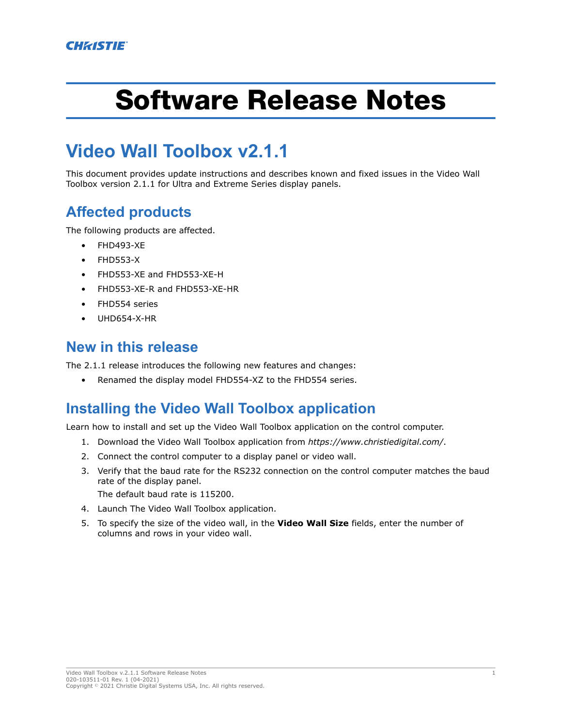# Software Release Notes

# **Video Wall Toolbox v2.1.1**

This document provides update instructions and describes known and fixed issues in the Video Wall Toolbox version 2.1.1 for Ultra and Extreme Series display panels.

# **Affected products**

The following products are affected.

- FHD493-XE
- FHD553-X
- FHD553-XE and FHD553-XE-H
- FHD553-XE-R and FHD553-XE-HR
- FHD554 series
- UHD654-X-HR

#### **New in this release**

The 2.1.1 release introduces the following new features and changes:

• Renamed the display model FHD554-XZ to the FHD554 series.

# **Installing the Video Wall Toolbox application**

Learn how to install and set up the Video Wall Toolbox application on the control computer.

- 1. Download the Video Wall Toolbox application from *<https://www.christiedigital.com/>*.
- 2. Connect the control computer to a display panel or video wall.
- 3. Verify that the baud rate for the RS232 connection on the control computer matches the baud rate of the display panel.

The default baud rate is 115200.

- 4. Launch The Video Wall Toolbox application.
- 5. To specify the size of the video wall, in the **Video Wall Size** fields, enter the number of columns and rows in your video wall.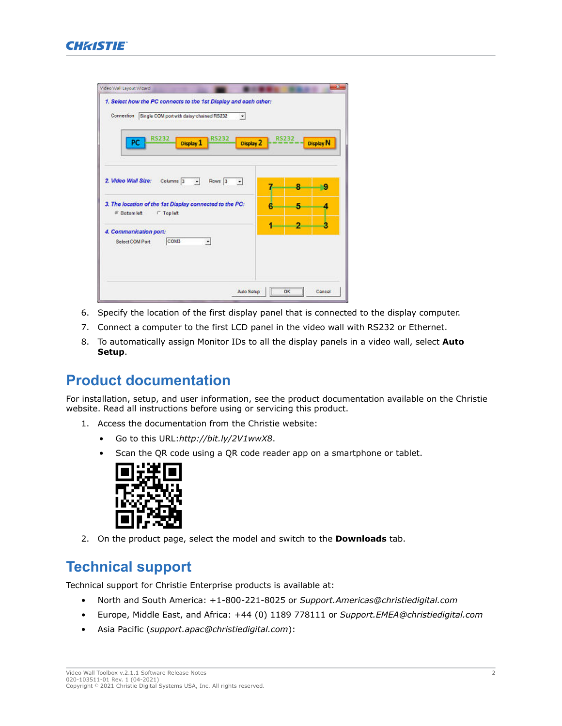

| PC                                                                                       | <b>RS232</b>         | Display 1              | <b>RS232</b>      | Display 2      |   | <b>RS232</b> | Display N |
|------------------------------------------------------------------------------------------|----------------------|------------------------|-------------------|----------------|---|--------------|-----------|
| 2. Video Wall Size:                                                                      | Columns <sup>3</sup> | $\left  \cdot \right $ | Rows <sub>3</sub> | $\overline{ }$ |   | 8            | 9         |
| 3. The location of the 1st Display connected to the PC:<br># Botom kift<br><b>Taplet</b> |                      |                        |                   |                |   | 5            | Δ         |
| 4. Communication port:<br>Select COM Port                                                | <b>COMB</b>          |                        | ۳                 |                | 1 | 2            | ۵         |

- 6. Specify the location of the first display panel that is connected to the display computer.
- 7. Connect a computer to the first LCD panel in the video wall with RS232 or Ethernet.
- 8. To automatically assign Monitor IDs to all the display panels in a video wall, select **Auto Setup**.

### **Product documentation**

For installation, setup, and user information, see the product documentation available on the Christie website. Read all instructions before using or servicing this product.

1. Access the documentation from the Christie website:

- Go to this URL:*<http://bit.ly/2V1wwX8>*.
- Scan the QR code using a QR code reader app on a smartphone or tablet.



2. On the product page, select the model and switch to the **Downloads** tab.

# **Technical support**

Technical support for Christie Enterprise products is available at:

- North and South America: +1-800-221-8025 or *[Support.Americas@christiedigital.com](mailto:Support.Americas@christiedigital.com)*
- Europe, Middle East, and Africa: +44 (0) 1189 778111 or *[Support.EMEA@christiedigital.com](mailto:Support.EMEA@christiedigital.com)*
- Asia Pacific (*[support.apac@christiedigital.com](mailto:support.apac@christiedigital.com)*):